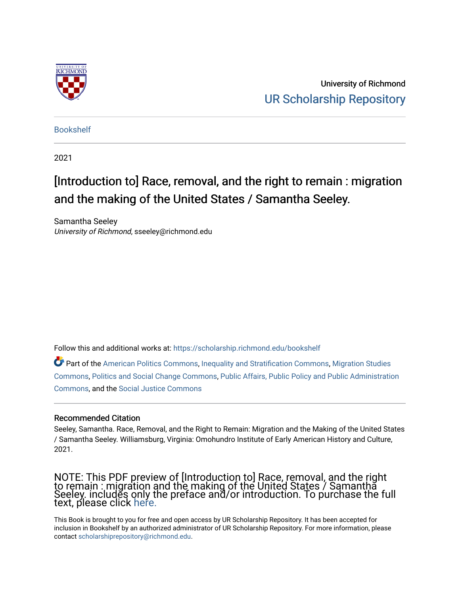

University of Richmond [UR Scholarship Repository](https://scholarship.richmond.edu/) 

[Bookshelf](https://scholarship.richmond.edu/bookshelf) 

2021

## [Introduction to] Race, removal, and the right to remain : migration and the making of the United States / Samantha Seeley.

Samantha Seeley University of Richmond, sseeley@richmond.edu

Follow this and additional works at: [https://scholarship.richmond.edu/bookshelf](https://scholarship.richmond.edu/bookshelf?utm_source=scholarship.richmond.edu%2Fbookshelf%2F373&utm_medium=PDF&utm_campaign=PDFCoverPages) 

Part of the [American Politics Commons,](https://network.bepress.com/hgg/discipline/387?utm_source=scholarship.richmond.edu%2Fbookshelf%2F373&utm_medium=PDF&utm_campaign=PDFCoverPages) [Inequality and Stratification Commons](https://network.bepress.com/hgg/discipline/421?utm_source=scholarship.richmond.edu%2Fbookshelf%2F373&utm_medium=PDF&utm_campaign=PDFCoverPages), [Migration Studies](https://network.bepress.com/hgg/discipline/1394?utm_source=scholarship.richmond.edu%2Fbookshelf%2F373&utm_medium=PDF&utm_campaign=PDFCoverPages) [Commons](https://network.bepress.com/hgg/discipline/1394?utm_source=scholarship.richmond.edu%2Fbookshelf%2F373&utm_medium=PDF&utm_campaign=PDFCoverPages), [Politics and Social Change Commons](https://network.bepress.com/hgg/discipline/425?utm_source=scholarship.richmond.edu%2Fbookshelf%2F373&utm_medium=PDF&utm_campaign=PDFCoverPages), [Public Affairs, Public Policy and Public Administration](https://network.bepress.com/hgg/discipline/393?utm_source=scholarship.richmond.edu%2Fbookshelf%2F373&utm_medium=PDF&utm_campaign=PDFCoverPages) [Commons](https://network.bepress.com/hgg/discipline/393?utm_source=scholarship.richmond.edu%2Fbookshelf%2F373&utm_medium=PDF&utm_campaign=PDFCoverPages), and the [Social Justice Commons](https://network.bepress.com/hgg/discipline/1432?utm_source=scholarship.richmond.edu%2Fbookshelf%2F373&utm_medium=PDF&utm_campaign=PDFCoverPages) 

#### Recommended Citation

Seeley, Samantha. Race, Removal, and the Right to Remain: Migration and the Making of the United States / Samantha Seeley. Williamsburg, Virginia: Omohundro Institute of Early American History and Culture, 2021.

NOTE: This PDF preview of [Introduction to] Race, removal, and the right to remain : migration and the making of the United States / Samantha Seeley. includes only the preface and/or introduction. To purchase the full text, please click [here.](https://uncpress.org/book/9781469664811/race-removal-and-the-right-to-remain/) 

This Book is brought to you for free and open access by UR Scholarship Repository. It has been accepted for inclusion in Bookshelf by an authorized administrator of UR Scholarship Repository. For more information, please contact [scholarshiprepository@richmond.edu](mailto:scholarshiprepository@richmond.edu).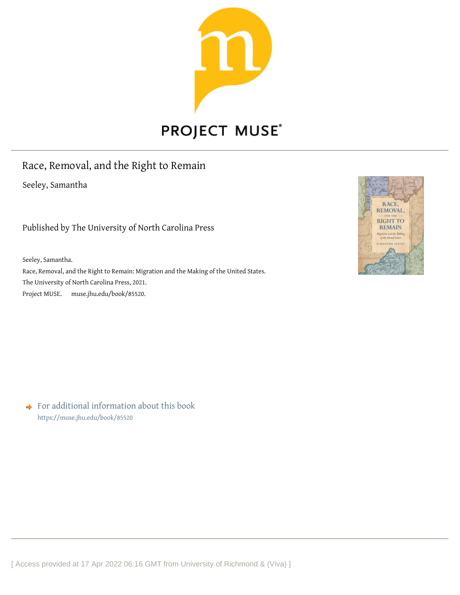

# **PROJECT MUSE®**

### Race, Removal, and the Right to Remain

Seeley, Samantha

Published by The University of North Carolina Press

Seeley, Samantha.

Race, Removal, and the Right to Remain: Migration and the Making of the United States. The University of North Carolina Press, 2021. Project MUSE. muse.jhu.edu/book/855[20.](https://muse.jhu.edu)



◆ For additional information about this book <https://muse.jhu.edu/book/85520>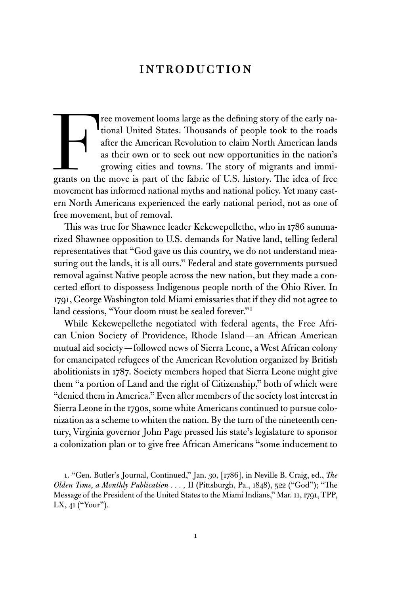### [Introduction](#page--1-0)

Free movement looms large as the defining story of the early national United States. Thousands of people took to the roads after the American Revolution to claim North American lands as their own or to seek out new opportu tional United States. Thousands of people took to the roads after the American Revolution to claim North American lands as their own or to seek out new opportunities in the nation's growing cities and towns. The story of migrants and immigrants on the move is part of the fabric of U.S. history. The idea of free movement has informed national myths and national policy. Yet many eastern North Americans experienced the early national period, not as one of free movement, but of removal.

This was true for Shawnee leader Kekewepellethe, who in 1786 summarized Shawnee opposition to U.S. demands for Native land, telling federal representatives that "God gave us this country, we do not understand measuring out the lands, it is all ours." Federal and state governments pursued removal against Native people across the new nation, but they made a concerted effort to dispossess Indigenous people north of the Ohio River. In 1791, George Washington told Miami emissaries that if they did not agree to land cessions, "Your doom must be sealed forever."1

While Kekewepellethe negotiated with federal agents, the Free African Union Society of Providence, Rhode Island—an African American mutual aid society—followed news of Sierra Leone, a West African colony for emancipated refugees of the American Revolution organized by British abolitionists in 1787. Society members hoped that Sierra Leone might give them "a portion of Land and the right of Citizenship," both of which were "denied them in America." Even after members of the society lost interest in Sierra Leone in the 1790s, some white Americans continued to pursue colonization as a scheme to whiten the nation. By the turn of the nineteenth century, Virginia governor John Page pressed his state's legislature to sponsor a colonization plan or to give free African Americans "some inducement to

1. "Gen. Butler's Journal, Continued," Jan. 30, [1786], in Neville B. Craig, ed., *The Olden Time, a Monthly Publication ...*, II (Pittsburgh, Pa., 1848), 522 ("God"); "The Message of the President of the United States to the Miami Indians," Mar. 11, 1791, TPP, LX, 41 ("Your").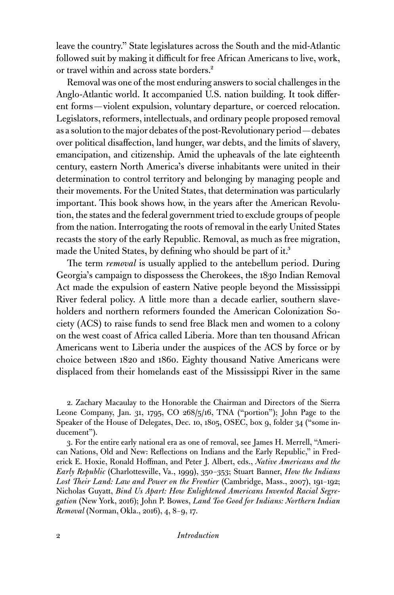leave the country." State legislatures across the South and the mid-Atlantic followed suit by making it difficult for free African Americans to live, work, or travel within and across state borders.<sup>2</sup>

Removal was one of the most enduring answers to social challenges in the Anglo-Atlantic world. It accompanied U.S. nation building. It took different forms—violent expulsion, voluntary departure, or coerced relocation. Legislators, reformers, intellectuals, and ordinary people proposed removal as a solution to the major debates of the post-Revolutionary period—debates over political disaffection, land hunger, war debts, and the limits of slavery, emancipation, and citizenship. Amid the upheavals of the late eighteenth century, eastern North America's diverse inhabitants were united in their determination to control territory and belonging by managing people and their movements. For the United States, that determination was particularly important. This book shows how, in the years after the American Revolution, the states and the federal government tried to exclude groups of people from the nation. Interrogating the roots of removal in the early United States recasts the story of the early Republic. Removal, as much as free migration, made the United States, by defining who should be part of it.<sup>3</sup>

The term *removal* is usually applied to the antebellum period. During Georgia's campaign to dispossess the Cherokees, the 1830 Indian Removal Act made the expulsion of eastern Native people beyond the Mississippi River federal policy. A little more than a decade earlier, southern slaveholders and northern reformers founded the American Colonization Society (ACS) to raise funds to send free Black men and women to a colony on the west coast of Africa called Liberia. More than ten thousand African Americans went to Liberia under the auspices of the ACS by force or by choice between 1820 and 1860. Eighty thousand Native Americans were displaced from their homelands east of the Mississippi River in the same

2. Zachary Macaulay to the Honorable the Chairman and Directors of the Sierra Leone Company, Jan. 31, 1795, CO 268/5/16, TNA ("portion"); John Page to the Speaker of the House of Delegates, Dec. 10, 1805, OSEC, box 9, folder 34 ("some inducement").

3. For the entire early national era as one of removal, see James H. Merrell, "American Nations, Old and New: Reflections on Indians and the Early Republic," in Frederick E. Hoxie, Ronald Hoffman, and Peter J. Albert, eds., *Native Americans and the Early Republic* (Charlottesville, Va., 1999), 350–353; Stuart Banner, *How the Indians Lost Their Land: Law and Power on the Frontier* (Cambridge, Mass., 2007), 191–192; Nicholas Guyatt, *Bind Us Apart: How Enlightened Americans Invented Racial Segregation* (New York, 2016); John P. Bowes, *Land Too Good for Indians: Northern Indian Removal* (Norman, Okla., 2016), 4, 8–9, 17.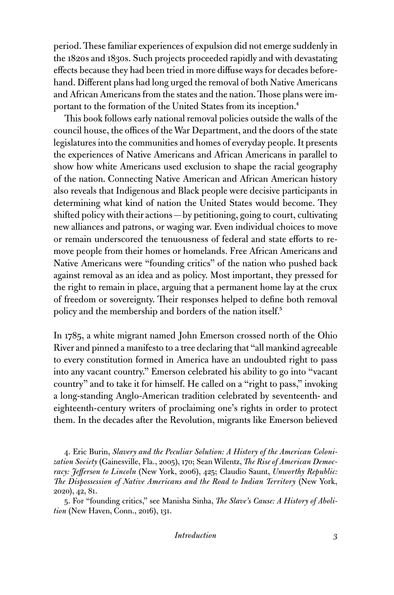period. These familiar experiences of expulsion did not emerge suddenly in the 1820s and 1830s. Such projects proceeded rapidly and with devastating effects because they had been tried in more diffuse ways for decades beforehand. Different plans had long urged the removal of both Native Americans and African Americans from the states and the nation. Those plans were important to the formation of the United States from its inception.4

This book follows early national removal policies outside the walls of the council house, the offices of the War Department, and the doors of the state legislatures into the communities and homes of everyday people. It presents the experiences of Native Americans and African Americans in parallel to show how white Americans used exclusion to shape the racial geography of the nation. Connecting Native American and African American history also reveals that Indigenous and Black people were decisive participants in determining what kind of nation the United States would become. They shifted policy with their actions—by petitioning, going to court, cultivating new alliances and patrons, or waging war. Even individual choices to move or remain underscored the tenuousness of federal and state efforts to remove people from their homes or homelands. Free African Americans and Native Americans were "founding critics" of the nation who pushed back against removal as an idea and as policy. Most important, they pressed for the right to remain in place, arguing that a permanent home lay at the crux of freedom or sovereignty. Their responses helped to define both removal policy and the membership and borders of the nation itself.<sup>5</sup>

In 1785, a white migrant named John Emerson crossed north of the Ohio River and pinned a manifesto to a tree declaring that "all mankind agreeable to every constitution formed in America have an undoubted right to pass into any vacant country." Emerson celebrated his ability to go into "vacant country" and to take it for himself. He called on a "right to pass," invoking a long-standing Anglo-American tradition celebrated by seventeenth- and eighteenth-century writers of proclaiming one's rights in order to protect them. In the decades after the Revolution, migrants like Emerson believed

4. Eric Burin, *Slavery and the Peculiar Solution: A History of the American Colonization Society* (Gainesville, Fla., 2005), 170; Sean Wilentz, *The Rise of American Democracy: Jefferson to Lincoln* (New York, 2006), 425; Claudio Saunt, *Unworthy Republic: The Dispossession of Native Americans and the Road to Indian Territory* (New York, 2020), 42, 81.

5. For "founding critics," see Manisha Sinha, *The Slave's Cause: A History of Abolition* (New Haven, Conn., 2016), 131.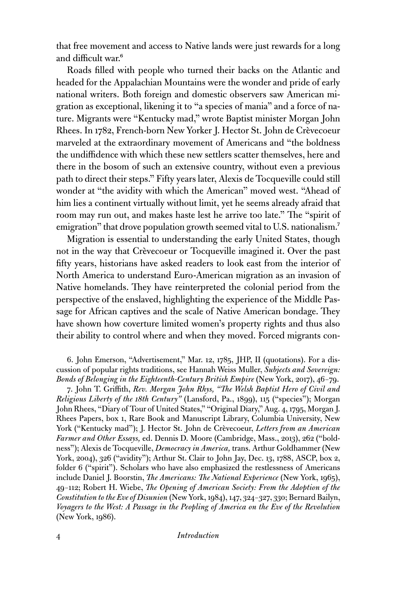that free movement and access to Native lands were just rewards for a long and difficult war.<sup>6</sup>

Roads filled with people who turned their backs on the Atlantic and headed for the Appalachian Mountains were the wonder and pride of early national writers. Both foreign and domestic observers saw American migration as exceptional, likening it to "a species of mania" and a force of nature. Migrants were "Kentucky mad," wrote Baptist minister Morgan John Rhees. In 1782, French-born New Yorker J. Hector St. John de Crèvecoeur marveled at the extraordinary movement of Americans and "the boldness the undiffidence with which these new settlers scatter themselves, here and there in the bosom of such an extensive country, without even a previous path to direct their steps." Fifty years later, Alexis de Tocqueville could still wonder at "the avidity with which the American" moved west. "Ahead of him lies a continent virtually without limit, yet he seems already afraid that room may run out, and makes haste lest he arrive too late." The "spirit of emigration" that drove population growth seemed vital to U.S. nationalism.<sup>7</sup>

Migration is essential to understanding the early United States, though not in the way that Crèvecoeur or Tocqueville imagined it. Over the past fifty years, historians have asked readers to look east from the interior of North America to understand Euro-American migration as an invasion of Native homelands. They have reinterpreted the colonial period from the perspective of the enslaved, highlighting the experience of the Middle Passage for African captives and the scale of Native American bondage. They have shown how coverture limited women's property rights and thus also their ability to control where and when they moved. Forced migrants con-

6. John Emerson, "Advertisement," Mar. 12, 1785, JHP, II (quotations). For a discussion of popular rights traditions, see Hannah Weiss Muller, *Subjects and Sovereign: Bonds of Belonging in the Eighteenth-Century British Empire* (New York, 2017), 46–79.

7. John T. Griffith, *Rev. Morgan John Rhys, "The Welsh Baptist Hero of Civil and Religious Liberty of the 18th Century"* (Lansford, Pa., 1899), 115 ("species"); Morgan John Rhees, "Diary of Tour of United States," "Original Diary," Aug. 4, 1795, Morgan J. Rhees Papers, box 1, Rare Book and Manuscript Library, Columbia University, New York ("Kentucky mad"); J. Hector St. John de Crèvecoeur, *Letters from an American Farmer and Other Essays,* ed. Dennis D. Moore (Cambridge, Mass., 2013), 262 ("boldness"); Alexis de Tocqueville, *Democracy in America,* trans. Arthur Goldhammer (New York, 2004), 326 ("avidity"); Arthur St. Clair to John Jay, Dec. 13, 1788, ASCP, box 2, folder 6 ("spirit"). Scholars who have also emphasized the restlessness of Americans include Daniel J. Boorstin, *The Americans: The National Experience* (New York, 1965), 49–112; Robert H. Wiebe, *The Opening of American Society: From the Adoption of the Constitution to the Eve of Disunion* (New York, 1984), 147, 324–327, 330; Bernard Bailyn, *Voyagers to the West: A Passage in the Peopling of America on the Eve of the Revolution* (New York, 1986).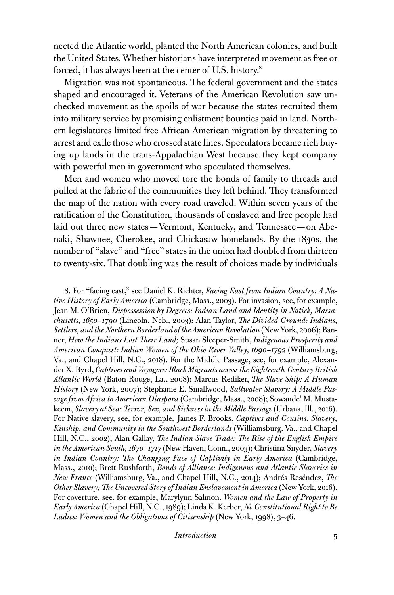nected the Atlantic world, planted the North American colonies, and built the United States. Whether historians have interpreted movement as free or forced, it has always been at the center of U.S. history.<sup>8</sup>

Migration was not spontaneous. The federal government and the states shaped and encouraged it. Veterans of the American Revolution saw unchecked movement as the spoils of war because the states recruited them into military service by promising enlistment bounties paid in land. Northern legislatures limited free African American migration by threatening to arrest and exile those who crossed state lines. Speculators became rich buying up lands in the trans-Appalachian West because they kept company with powerful men in government who speculated themselves.

Men and women who moved tore the bonds of family to threads and pulled at the fabric of the communities they left behind. They transformed the map of the nation with every road traveled. Within seven years of the ratification of the Constitution, thousands of enslaved and free people had laid out three new states—Vermont, Kentucky, and Tennessee—on Abenaki, Shawnee, Cherokee, and Chickasaw homelands. By the 1830s, the number of "slave" and "free" states in the union had doubled from thirteen to twenty-six. That doubling was the result of choices made by individuals

8. For "facing east," see Daniel K. Richter, *Facing East from Indian Country: A Native History of Early America* (Cambridge, Mass., 2003). For invasion, see, for example, Jean M. O'Brien, *Dispossession by Degrees: Indian Land and Identity in Natick, Massachusetts, 1650–1790* (Lincoln, Neb., 2003); Alan Taylor, *The Divided Ground: Indians, Settlers, and the Northern Borderland of the American Revolution* (New York, 2006); Banner, *How the Indians Lost Their Land;* Susan Sleeper-Smith, *Indigenous Prosperity and American Conquest: Indian Women of the Ohio River Valley, 1690–1792* (Williamsburg, Va., and Chapel Hill, N.C., 2018). For the Middle Passage, see, for example, Alexander X. Byrd, *Captives and Voyagers: Black Migrants across the Eighteenth-Century British Atlantic World* (Baton Rouge, La., 2008); Marcus Rediker, *The Slave Ship: A Human History* (New York, 2007); Stephanie E. Smallwood, *Saltwater Slavery: A Middle Passage from Africa to American Diaspora* (Cambridge, Mass., 2008); Sowande' M. Mustakeem, *Slavery at Sea: Terror, Sex, and Sickness in the Middle Passage* (Urbana, Ill., 2016). For Native slavery, see, for example, James F. Brooks, *Captives and Cousins: Slavery, Kinship, and Community in the Southwest Borderlands* (Williamsburg, Va., and Chapel Hill, N.C., 2002); Alan Gallay, *The Indian Slave Trade: The Rise of the English Empire in the American South, 1670–1717* (New Haven, Conn., 2003); Christina Snyder, *Slavery in Indian Country: The Changing Face of Captivity in Early America* (Cambridge, Mass., 2010); Brett Rushforth, *Bonds of Alliance: Indigenous and Atlantic Slaveries in New France* (Williamsburg, Va., and Chapel Hill, N.C., 2014); Andrés Reséndez, *The Other Slavery; The Uncovered Story of Indian Enslavement in America* (New York, 2016). For coverture, see, for example, Marylynn Salmon, *Women and the Law of Property in Early America* (Chapel Hill, N.C., 1989); Linda K. Kerber, *No Constitutional Right to Be Ladies: Women and the Obligations of Citizenship* (New York, 1998), 3–46.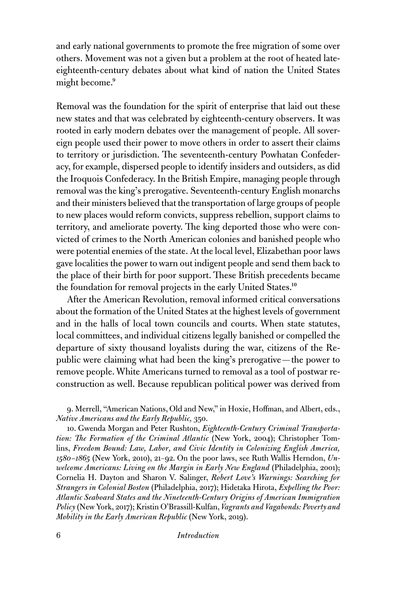and early national governments to promote the free migration of some over others. Movement was not a given but a problem at the root of heated lateeighteenth-century debates about what kind of nation the United States might become.<sup>9</sup>

Removal was the foundation for the spirit of enterprise that laid out these new states and that was celebrated by eighteenth-century observers. It was rooted in early modern debates over the management of people. All sovereign people used their power to move others in order to assert their claims to territory or jurisdiction. The seventeenth-century Powhatan Confederacy, for example, dispersed people to identify insiders and outsiders, as did the Iroquois Confederacy. In the British Empire, managing people through removal was the king's prerogative. Seventeenth-century English monarchs and their ministers believed that the transportation of large groups of people to new places would reform convicts, suppress rebellion, support claims to territory, and ameliorate poverty. The king deported those who were convicted of crimes to the North American colonies and banished people who were potential enemies of the state. At the local level, Elizabethan poor laws gave localities the power to warn out indigent people and send them back to the place of their birth for poor support. These British precedents became the foundation for removal projects in the early United States.<sup>10</sup>

After the American Revolution, removal informed critical conversations about the formation of the United States at the highest levels of government and in the halls of local town councils and courts. When state statutes, local committees, and individual citizens legally banished or compelled the departure of sixty thousand loyalists during the war, citizens of the Republic were claiming what had been the king's prerogative—the power to remove people. White Americans turned to removal as a tool of postwar reconstruction as well. Because republican political power was derived from

9. Merrell, "American Nations, Old and New," in Hoxie, Hoffman, and Albert, eds., *Native Americans and the Early Republic,* 350.

10. Gwenda Morgan and Peter Rushton, *Eighteenth-Century Criminal Transportation: The Formation of the Criminal Atlantic* (New York, 2004); Christopher Tomlins, *Freedom Bound: Law, Labor, and Civic Identity in Colonizing English America, 1580–1865* (New York, 2010), 21–92. On the poor laws, see Ruth Wallis Herndon, *Unwelcome Americans: Living on the Margin in Early New England* (Philadelphia, 2001); Cornelia H. Dayton and Sharon V. Salinger, *Robert Love's Warnings: Searching for Strangers in Colonial Boston* (Philadelphia, 2017); Hidetaka Hirota, *Expelling the Poor: Atlantic Seaboard States and the Nineteenth-Century Origins of American Immigration Policy* (New York, 2017); Kristin O'Brassill-Kulfan,*Vagrants and Vagabonds: Poverty and Mobility in the Early American Republic* (New York, 2019).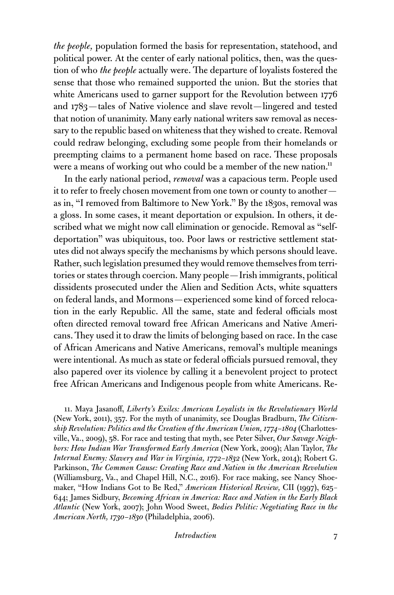*the people,* population formed the basis for representation, statehood, and political power. At the center of early national politics, then, was the question of who *the people* actually were. The departure of loyalists fostered the sense that those who remained supported the union. But the stories that white Americans used to garner support for the Revolution between 1776 and 1783—tales of Native violence and slave revolt—lingered and tested that notion of unanimity. Many early national writers saw removal as necessary to the republic based on whiteness that they wished to create. Removal could redraw belonging, excluding some people from their homelands or preempting claims to a permanent home based on race. These proposals were a means of working out who could be a member of the new nation.<sup>11</sup>

In the early national period, *removal* was a capacious term. People used it to refer to freely chosen movement from one town or county to another as in, "I removed from Baltimore to New York." By the 1830s, removal was a gloss. In some cases, it meant deportation or expulsion. In others, it described what we might now call elimination or genocide. Removal as "selfdeportation" was ubiquitous, too. Poor laws or restrictive settlement statutes did not always specify the mechanisms by which persons should leave. Rather, such legislation presumed they would remove themselves from territories or states through coercion. Many people—Irish immigrants, political dissidents prosecuted under the Alien and Sedition Acts, white squatters on federal lands, and Mormons—experienced some kind of forced relocation in the early Republic. All the same, state and federal officials most often directed removal toward free African Americans and Native Americans. They used it to draw the limits of belonging based on race. In the case of African Americans and Native Americans, removal's multiple meanings were intentional. As much as state or federal officials pursued removal, they also papered over its violence by calling it a benevolent project to protect free African Americans and Indigenous people from white Americans. Re-

11. Maya Jasanoff, *Liberty's Exiles: American Loyalists in the Revolutionary World* (New York, 2011), 357. For the myth of unanimity, see Douglas Bradburn, *The Citizenship Revolution: Politics and the Creation of the American Union, 1774–1804* (Charlottesville, Va., 2009), 58. For race and testing that myth, see Peter Silver, *Our Savage Neighbors: How Indian War Transformed Early America* (New York, 2009); Alan Taylor, *The Internal Enemy: Slavery and War in Virginia, 1772–1832* (New York, 2014); Robert G. Parkinson, *The Common Cause: Creating Race and Nation in the American Revolution* (Williamsburg, Va., and Chapel Hill, N.C., 2016). For race making, see Nancy Shoemaker, "How Indians Got to Be Red," *American Historical Review,* CII (1997), 625– 644; James Sidbury, *Becoming African in America: Race and Nation in the Early Black Atlantic* (New York, 2007); John Wood Sweet, *Bodies Politic: Negotiating Race in the American North, 1730–1830* (Philadelphia, 2006).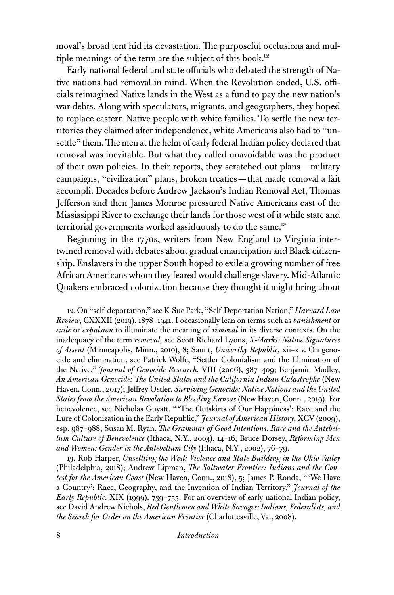moval's broad tent hid its devastation. The purposeful occlusions and multiple meanings of the term are the subject of this book.<sup>12</sup>

Early national federal and state officials who debated the strength of Native nations had removal in mind. When the Revolution ended, U.S. officials reimagined Native lands in the West as a fund to pay the new nation's war debts. Along with speculators, migrants, and geographers, they hoped to replace eastern Native people with white families. To settle the new territories they claimed after independence, white Americans also had to "unsettle" them. The men at the helm of early federal Indian policy declared that removal was inevitable. But what they called unavoidable was the product of their own policies. In their reports, they scratched out plans—military campaigns, "civilization" plans, broken treaties—that made removal a fait accompli. Decades before Andrew Jackson's Indian Removal Act, Thomas Jefferson and then James Monroe pressured Native Americans east of the Mississippi River to exchange their lands for those west of it while state and territorial governments worked assiduously to do the same.<sup>13</sup>

Beginning in the 1770s, writers from New England to Virginia intertwined removal with debates about gradual emancipation and Black citizenship. Enslavers in the upper South hoped to exile a growing number of free African Americans whom they feared would challenge slavery. Mid-Atlantic Quakers embraced colonization because they thought it might bring about

12. On "self-deportation," see K-Sue Park, "Self-Deportation Nation," *Harvard Law Review,* CXXXII (2019), 1878–1941. I occasionally lean on terms such as *banishment* or *exile* or *expulsion* to illuminate the meaning of *removal* in its diverse contexts. On the inadequacy of the term *removal,* see Scott Richard Lyons, *X-Marks: Native Signatures of Assent* (Minneapolis, Minn., 2010), 8; Saunt, *Unworthy Republic,* xii–xiv. On genocide and elimination, see Patrick Wolfe, "Settler Colonialism and the Elimination of the Native," *Journal of Genocide Research,* VIII (2006), 387–409; Benjamin Madley, *An American Genocide: The United States and the California Indian Catastrophe* (New Haven, Conn., 2017); Jeffrey Ostler, *Surviving Genocide: Native Nations and the United States from the American Revolution to Bleeding Kansas* (New Haven, Conn., 2019). For benevolence, see Nicholas Guyatt, " 'The Outskirts of Our Happiness': Race and the Lure of Colonization in the Early Republic," *Journal of American History,* XCV (2009), esp. 987–988; Susan M. Ryan, *The Grammar of Good Intentions: Race and the Antebellum Culture of Benevolence* (Ithaca, N.Y., 2003), 14–16; Bruce Dorsey, *Reforming Men and Women: Gender in the Antebellum City* (Ithaca, N.Y., 2002), 76–79.

13. Rob Harper, *Unsettling the West: Violence and State Building in the Ohio Valley* (Philadelphia, 2018); Andrew Lipman, *The Saltwater Frontier: Indians and the Contest for the American Coast* (New Haven, Conn., 2018), 5; James P. Ronda, " 'We Have a Country': Race, Geography, and the Invention of Indian Territory," *Journal of the Early Republic,* XIX (1999), 739–755. For an overview of early national Indian policy, see David Andrew Nichols, *Red Gentlemen and White Savages: Indians, Federalists, and the Search for Order on the American Frontier* (Charlottesville, Va., 2008).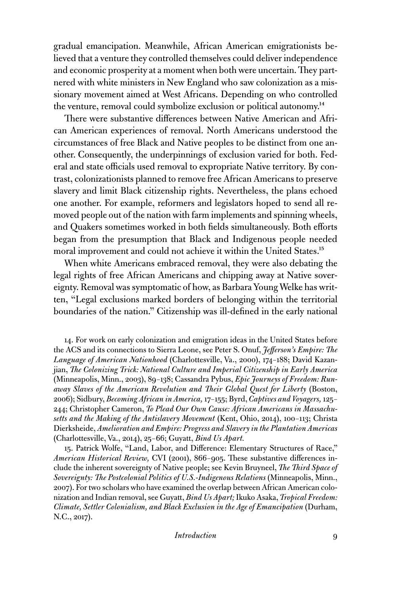gradual emancipation. Meanwhile, African American emigrationists believed that a venture they controlled themselves could deliver independence and economic prosperity at a moment when both were uncertain. They partnered with white ministers in New England who saw colonization as a missionary movement aimed at West Africans. Depending on who controlled the venture, removal could symbolize exclusion or political autonomy.<sup>14</sup>

There were substantive differences between Native American and African American experiences of removal. North Americans understood the circumstances of free Black and Native peoples to be distinct from one another. Consequently, the underpinnings of exclusion varied for both. Federal and state officials used removal to expropriate Native territory. By contrast, colonizationists planned to remove free African Americans to preserve slavery and limit Black citizenship rights. Nevertheless, the plans echoed one another. For example, reformers and legislators hoped to send all removed people out of the nation with farm implements and spinning wheels, and Quakers sometimes worked in both fields simultaneously. Both efforts began from the presumption that Black and Indigenous people needed moral improvement and could not achieve it within the United States.<sup>15</sup>

When white Americans embraced removal, they were also debating the legal rights of free African Americans and chipping away at Native sovereignty. Removal was symptomatic of how, as Barbara Young Welke has written, "Legal exclusions marked borders of belonging within the territorial boundaries of the nation." Citizenship was ill-defined in the early national

14. For work on early colonization and emigration ideas in the United States before the ACS and its connections to Sierra Leone, see Peter S. Onuf, *Jefferson's Empire: The Language of American Nationhood* (Charlottesville, Va., 2000), 174–188; David Kazanjian, *The Colonizing Trick: National Culture and Imperial Citizenship in Early America* (Minneapolis, Minn., 2003), 89–138; Cassandra Pybus, *Epic Journeys of Freedom: Runaway Slaves of the American Revolution and Their Global Quest for Liberty* (Boston, 2006); Sidbury, *Becoming African in America,* 17–155; Byrd, *Captives and Voyagers,* 125– 244; Christopher Cameron, *To Plead Our Own Cause: African Americans in Massachusetts and the Making of the Antislavery Movement* (Kent, Ohio, 2014), 100–113; Christa Dierksheide, *Amelioration and Empire: Progress and Slavery in the Plantation Americas* (Charlottesville, Va., 2014), 25–66; Guyatt, *Bind Us Apart.*

15. Patrick Wolfe, "Land, Labor, and Difference: Elementary Structures of Race," *American Historical Review,* CVI (2001), 866–905. These substantive differences include the inherent sovereignty of Native people; see Kevin Bruyneel, *The Third Space of Sovereignty: The Postcolonial Politics of U.S.-Indigenous Relations* (Minneapolis, Minn., 2007). For two scholars who have examined the overlap between African American colonization and Indian removal, see Guyatt, *Bind Us Apart;* Ikuko Asaka, *Tropical Freedom: Climate, Settler Colonialism, and Black Exclusion in the Age of Emancipation* (Durham, N.C., 2017).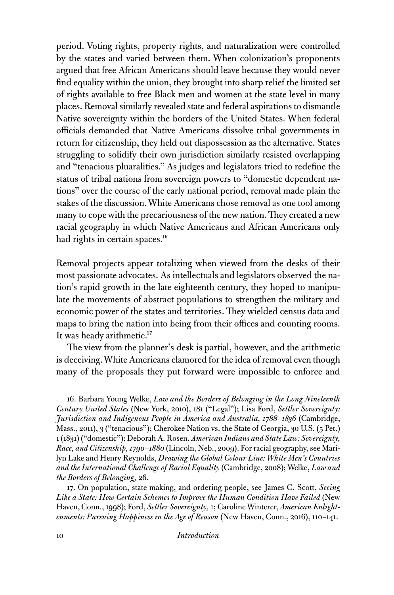period. Voting rights, property rights, and naturalization were controlled by the states and varied between them. When colonization's proponents argued that free African Americans should leave because they would never find equality within the union, they brought into sharp relief the limited set of rights available to free Black men and women at the state level in many places. Removal similarly revealed state and federal aspirations to dismantle Native sovereignty within the borders of the United States. When federal officials demanded that Native Americans dissolve tribal governments in return for citizenship, they held out dispossession as the alternative. States struggling to solidify their own jurisdiction similarly resisted overlapping and "tenacious pluaralities." As judges and legislators tried to redefine the status of tribal nations from sovereign powers to "domestic dependent nations" over the course of the early national period, removal made plain the stakes of the discussion. White Americans chose removal as one tool among many to cope with the precariousness of the new nation. They created a new racial geography in which Native Americans and African Americans only had rights in certain spaces.<sup>16</sup>

Removal projects appear totalizing when viewed from the desks of their most passionate advocates. As intellectuals and legislators observed the nation's rapid growth in the late eighteenth century, they hoped to manipulate the movements of abstract populations to strengthen the military and economic power of the states and territories. They wielded census data and maps to bring the nation into being from their offices and counting rooms. It was heady arithmetic.<sup>17</sup>

The view from the planner's desk is partial, however, and the arithmetic is deceiving. White Americans clamored for the idea of removal even though many of the proposals they put forward were impossible to enforce and

16. Barbara Young Welke, *Law and the Borders of Belonging in the Long Nineteenth Century United States* (New York, 2010), 181 ("Legal"); Lisa Ford, *Settler Sovereignty: Jurisdiction and Indigenous People in America and Australia, 1788–1836* (Cambridge, Mass., 2011), 3 ("tenacious"); Cherokee Nation vs. the State of Georgia, 30 U.S. (5 Pet.) 1 (1831) ("domestic"); Deborah A. Rosen, *American Indians and State Law: Sovereignty, Race, and Citizenship, 1790–1880* (Lincoln, Neb., 2009). For racial geography, see Marilyn Lake and Henry Reynolds, *Drawing the Global Colour Line: White Men's Countries and the International Challenge of Racial Equality* (Cambridge, 2008); Welke, *Law and the Borders of Belonging,* 26.

17. On population, state making, and ordering people, see James C. Scott, *Seeing Like a State: How Certain Schemes to Improve the Human Condition Have Failed* (New Haven, Conn., 1998); Ford, *Settler Sovereignty,* 1; Caroline Winterer, *American Enlightenments: Pursuing Happiness in the Age of Reason* (New Haven, Conn., 2016), 110–141.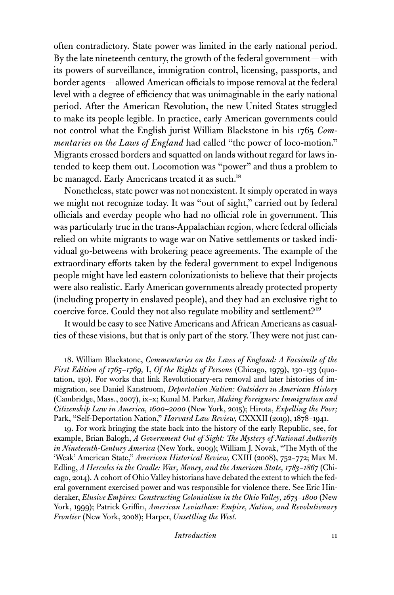often contradictory. State power was limited in the early national period. By the late nineteenth century, the growth of the federal government—with its powers of surveillance, immigration control, licensing, passports, and border agents—allowed American officials to impose removal at the federal level with a degree of efficiency that was unimaginable in the early national period. After the American Revolution, the new United States struggled to make its people legible. In practice, early American governments could not control what the English jurist William Blackstone in his 1765 *Commentaries on the Laws of England* had called "the power of loco-motion." Migrants crossed borders and squatted on lands without regard for laws intended to keep them out. Locomotion was "power" and thus a problem to be managed. Early Americans treated it as such.<sup>18</sup>

Nonetheless, state power was not nonexistent. It simply operated in ways we might not recognize today. It was "out of sight," carried out by federal officials and everday people who had no official role in government. This was particularly true in the trans-Appalachian region, where federal officials relied on white migrants to wage war on Native settlements or tasked individual go-betweens with brokering peace agreements. The example of the extraordinary efforts taken by the federal government to expel Indigenous people might have led eastern colonizationists to believe that their projects were also realistic. Early American governments already protected property (including property in enslaved people), and they had an exclusive right to coercive force. Could they not also regulate mobility and settlement?<sup>19</sup>

It would be easy to see Native Americans and African Americans as casualties of these visions, but that is only part of the story. They were not just can-

18. William Blackstone, *Commentaries on the Laws of England: A Facsimile of the First Edition of 1765–1769,* I, *Of the Rights of Persons* (Chicago, 1979), 130–133 (quotation, 130). For works that link Revolutionary-era removal and later histories of immigration, see Daniel Kanstroom, *Deportation Nation: Outsiders in American History* (Cambridge, Mass., 2007), ix–x; Kunal M. Parker, *Making Foreigners: Immigration and Citizenship Law in America, 1600–2000* (New York, 2015); Hirota, *Expelling the Poor;* Park, "Self-Deportation Nation," *Harvard Law Review,* CXXXII (2019), 1878–1941.

19. For work bringing the state back into the history of the early Republic, see, for example, Brian Balogh, *A Government Out of Sight: The Mystery of National Authority in Nineteenth-Century America* (New York, 2009); William J. Novak, "The Myth of the 'Weak' American State," *American Historical Review,* CXIII (2008), 752–772; Max M. Edling, *A Hercules in the Cradle: War, Money, and the American State, 1783–1867* (Chicago, 2014). A cohort of Ohio Valley historians have debated the extent to which the federal government exercised power and was responsible for violence there. See Eric Hinderaker, *Elusive Empires: Constructing Colonialism in the Ohio Valley, 1673–1800* (New York, 1999); Patrick Griffin, *American Leviathan: Empire, Nation, and Revolutionary Frontier* (New York, 2008); Harper, *Unsettling the West.*

*Introduction* 11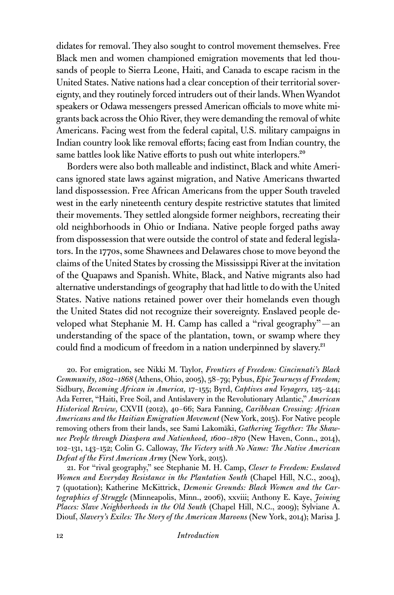didates for removal. They also sought to control movement themselves. Free Black men and women championed emigration movements that led thousands of people to Sierra Leone, Haiti, and Canada to escape racism in the United States. Native nations had a clear conception of their territorial sovereignty, and they routinely forced intruders out of their lands. When Wyandot speakers or Odawa messengers pressed American officials to move white migrants back across the Ohio River, they were demanding the removal of white Americans. Facing west from the federal capital, U.S. military campaigns in Indian country look like removal efforts; facing east from Indian country, the same battles look like Native efforts to push out white interlopers.<sup>20</sup>

Borders were also both malleable and indistinct, Black and white Americans ignored state laws against migration, and Native Americans thwarted land dispossession. Free African Americans from the upper South traveled west in the early nineteenth century despite restrictive statutes that limited their movements. They settled alongside former neighbors, recreating their old neighborhoods in Ohio or Indiana. Native people forged paths away from dispossession that were outside the control of state and federal legislators. In the 1770s, some Shawnees and Delawares chose to move beyond the claims of the United States by crossing the Mississippi River at the invitation of the Quapaws and Spanish. White, Black, and Native migrants also had alternative understandings of geography that had little to do with the United States. Native nations retained power over their homelands even though the United States did not recognize their sovereignty. Enslaved people developed what Stephanie M. H. Camp has called a "rival geography"—an understanding of the space of the plantation, town, or swamp where they could find a modicum of freedom in a nation underpinned by slavery.<sup>21</sup>

20. For emigration, see Nikki M. Taylor, *Frontiers of Freedom: Cincinnati's Black Community, 1802–1868* (Athens, Ohio, 2005), 58–79; Pybus, *Epic Journeys of Freedom;* Sidbury, *Becoming African in America,* 17–155; Byrd, *Captives and Voyagers,* 125–244; Ada Ferrer, "Haiti, Free Soil, and Antislavery in the Revolutionary Atlantic," *American Historical Review,* CXVII (2012), 40–66; Sara Fanning, *Caribbean Crossing: African Americans and the Haitian Emigration Movement* (New York, 2015). For Native people removing others from their lands, see Sami Lakomäki, *Gathering Together: The Shawnee People through Diaspora and Nationhood, 1600–1870* (New Haven, Conn., 2014), 102–131, 143–152; Colin G. Calloway, *The Victory with No Name: The Native American Defeat of the First American Army* (New York, 2015).

21. For "rival geography," see Stephanie M. H. Camp, *Closer to Freedom: Enslaved Women and Everyday Resistance in the Plantation South* (Chapel Hill, N.C., 2004), 7 (quotation); Katherine McKittrick, *Demonic Grounds: Black Women and the Cartographies of Struggle* (Minneapolis, Minn., 2006), xxviii; Anthony E. Kaye, *Joining Places: Slave Neighborhoods in the Old South* (Chapel Hill, N.C., 2009); Sylviane A. Diouf, *Slavery's Exiles: The Story of the American Maroons* (New York, 2014); Marisa J.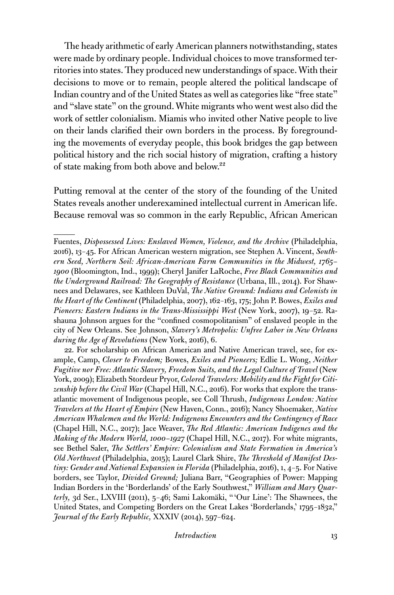The heady arithmetic of early American planners notwithstanding, states were made by ordinary people. Individual choices to move transformed territories into states. They produced new understandings of space. With their decisions to move or to remain, people altered the political landscape of Indian country and of the United States as well as categories like "free state" and "slave state" on the ground. White migrants who went west also did the work of settler colonialism. Miamis who invited other Native people to live on their lands clarified their own borders in the process. By foregrounding the movements of everyday people, this book bridges the gap between political history and the rich social history of migration, crafting a history of state making from both above and below.<sup>22</sup>

Putting removal at the center of the story of the founding of the United States reveals another underexamined intellectual current in American life. Because removal was so common in the early Republic, African American

22. For scholarship on African American and Native American travel, see, for example, Camp, *Closer to Freedom;* Bowes, *Exiles and Pioneers;* Edlie L. Wong, *Neither Fugitive nor Free: Atlantic Slavery, Freedom Suits, and the Legal Culture of Travel* (New York, 2009); Elizabeth Stordeur Pryor, *Colored Travelers: Mobility and the Fight for Citizenship before the Civil War* (Chapel Hill, N.C., 2016). For works that explore the transatlantic movement of Indigenous people, see Coll Thrush, *Indigenous London: Native Travelers at the Heart of Empire* (New Haven, Conn., 2016); Nancy Shoemaker, *Native American Whalemen and the World: Indigenous Encounters and the Contingency of Race* (Chapel Hill, N.C., 2017); Jace Weaver, *The Red Atlantic: American Indigenes and the Making of the Modern World, 1000–1927* (Chapel Hill, N.C., 2017). For white migrants, see Bethel Saler, *The Settlers' Empire: Colonialism and State Formation in America's Old Northwest* (Philadelphia, 2015); Laurel Clark Shire, *The Threshold of Manifest Destiny: Gender and National Expansion in Florida* (Philadelphia, 2016), 1, 4–5. For Native borders, see Taylor, *Divided Ground;* Juliana Barr, "Geographies of Power: Mapping Indian Borders in the 'Borderlands' of the Early Southwest," *William and Mary Quarterly,* 3d Ser., LXVIII (2011), 5–46; Sami Lakomäki, " 'Our Line': The Shawnees, the United States, and Competing Borders on the Great Lakes 'Borderlands,' 1795–1832," *Journal of the Early Republic,* XXXIV (2014), 597–624.

Fuentes, *Dispossessed Lives: Enslaved Women, Violence, and the Archive* (Philadelphia, 2016), 13–45. For African American western migration, see Stephen A. Vincent, *Southern Seed, Northern Soil: African-American Farm Communities in the Midwest, 1765– 1900* (Bloomington, Ind., 1999); Cheryl Janifer LaRoche, *Free Black Communities and the Underground Railroad: The Geography of Resistance* (Urbana, Ill., 2014). For Shawnees and Delawares, see Kathleen DuVal, *The Native Ground: Indians and Colonists in the Heart of the Continent* (Philadelphia, 2007), 162–163, 175; John P. Bowes, *Exiles and Pioneers: Eastern Indians in the Trans-Mississippi West* (New York, 2007), 19–52. Rashauna Johnson argues for the "confined cosmopolitanism" of enslaved people in the city of New Orleans. See Johnson, *Slavery's Metropolis: Unfree Labor in New Orleans during the Age of Revolutions* (New York, 2016), 6.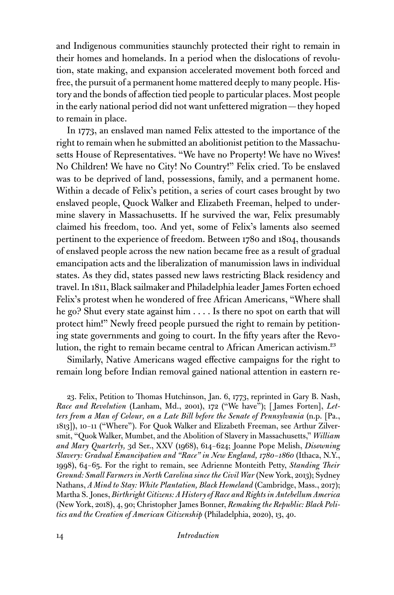and Indigenous communities staunchly protected their right to remain in their homes and homelands. In a period when the dislocations of revolution, state making, and expansion accelerated movement both forced and free, the pursuit of a permanent home mattered deeply to many people. History and the bonds of affection tied people to particular places. Most people in the early national period did not want unfettered migration—they hoped to remain in place.

In 1773, an enslaved man named Felix attested to the importance of the right to remain when he submitted an abolitionist petition to the Massachusetts House of Representatives. "We have no Property! We have no Wives! No Children! We have no City! No Country!" Felix cried. To be enslaved was to be deprived of land, possessions, family, and a permanent home. Within a decade of Felix's petition, a series of court cases brought by two enslaved people, Quock Walker and Elizabeth Freeman, helped to undermine slavery in Massachusetts. If he survived the war, Felix presumably claimed his freedom, too. And yet, some of Felix's laments also seemed pertinent to the experience of freedom. Between 1780 and 1804, thousands of enslaved people across the new nation became free as a result of gradual emancipation acts and the liberalization of manumission laws in individual states. As they did, states passed new laws restricting Black residency and travel. In 1811, Black sailmaker and Philadelphia leader James Forten echoed Felix's protest when he wondered of free African Americans, "Where shall he go? Shut every state against him . . . . Is there no spot on earth that will protect him!" Newly freed people pursued the right to remain by petitioning state governments and going to court. In the fifty years after the Revolution, the right to remain became central to African American activism.<sup>23</sup>

Similarly, Native Americans waged effective campaigns for the right to remain long before Indian removal gained national attention in eastern re-

23. Felix, Petition to Thomas Hutchinson, Jan. 6, 1773, reprinted in Gary B. Nash, *Race and Revolution* (Lanham, Md., 2001), 172 ("We have"); [ James Forten], *Letters from a Man of Colour, on a Late Bill before the Senate of Pennsylvania* (n.p. [Pa., 1813]), 10–11 ("Where"). For Quok Walker and Elizabeth Freeman, see Arthur Zilversmit, "Quok Walker, Mumbet, and the Abolition of Slavery in Massachusetts," *William and Mary Quarterly,* 3d Ser., XXV (1968), 614–624; Joanne Pope Melish, *Disowning Slavery: Gradual Emancipation and "Race" in New England, 1780–1860* (Ithaca, N.Y., 1998), 64–65. For the right to remain, see Adrienne Monteith Petty, *Standing Their Ground: Small Farmers in North Carolina since the Civil War* (New York, 2013); Sydney Nathans, *A Mind to Stay: White Plantation, Black Homeland* (Cambridge, Mass., 2017); Martha S. Jones, *Birthright Citizens: A History of Race and Rights in Antebellum America* (New York, 2018), 4, 90; Christopher James Bonner, *Remaking the Republic: Black Politics and the Creation of American Citizenship* (Philadelphia, 2020), 13, 40.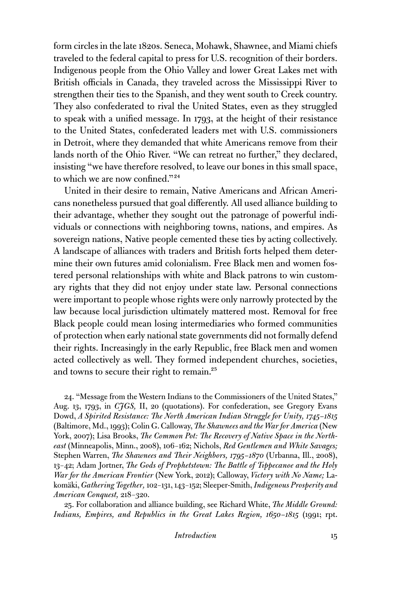form circles in the late 1820s. Seneca, Mohawk, Shawnee, and Miami chiefs traveled to the federal capital to press for U.S. recognition of their borders. Indigenous people from the Ohio Valley and lower Great Lakes met with British officials in Canada, they traveled across the Mississippi River to strengthen their ties to the Spanish, and they went south to Creek country. They also confederated to rival the United States, even as they struggled to speak with a unified message. In 1793, at the height of their resistance to the United States, confederated leaders met with U.S. commissioners in Detroit, where they demanded that white Americans remove from their lands north of the Ohio River. "We can retreat no further," they declared, insisting "we have therefore resolved, to leave our bones in this small space, to which we are now confined."<sup>24</sup>

United in their desire to remain, Native Americans and African Americans nonetheless pursued that goal differently. All used alliance building to their advantage, whether they sought out the patronage of powerful individuals or connections with neighboring towns, nations, and empires. As sovereign nations, Native people cemented these ties by acting collectively. A landscape of alliances with traders and British forts helped them determine their own futures amid colonialism. Free Black men and women fostered personal relationships with white and Black patrons to win customary rights that they did not enjoy under state law. Personal connections were important to people whose rights were only narrowly protected by the law because local jurisdiction ultimately mattered most. Removal for free Black people could mean losing intermediaries who formed communities of protection when early national state governments did not formally defend their rights. Increasingly in the early Republic, free Black men and women acted collectively as well. They formed independent churches, societies, and towns to secure their right to remain.<sup>25</sup>

24. "Message from the Western Indians to the Commissioners of the United States," Aug. 13, 1793, in *CJGS,* II, 20 (quotations). For confederation, see Gregory Evans Dowd, *A Spirited Resistance: The North American Indian Struggle for Unity, 1745–1815* (Baltimore, Md., 1993); Colin G. Calloway, *The Shawnees and the War for America* (New York, 2007); Lisa Brooks, *The Common Pot: The Recovery of Native Space in the Northeast* (Minneapolis, Minn., 2008), 106–162; Nichols, *Red Gentlemen and White Savages;* Stephen Warren, *The Shawnees and Their Neighbors, 1795–1870* (Urbanna, Ill., 2008), 13–42; Adam Jortner, *The Gods of Prophetstown: The Battle of Tippecanoe and the Holy War for the American Frontier* (New York, 2012); Calloway, *Victory with No Name;* Lakomäki, *Gathering Together,* 102–131, 143–152; Sleeper-Smith, *Indigenous Prosperity and American Conquest,* 218–320.

25. For collaboration and alliance building, see Richard White, *The Middle Ground: Indians, Empires, and Republics in the Great Lakes Region, 1650–1815* (1991; rpt.

*Introduction* 15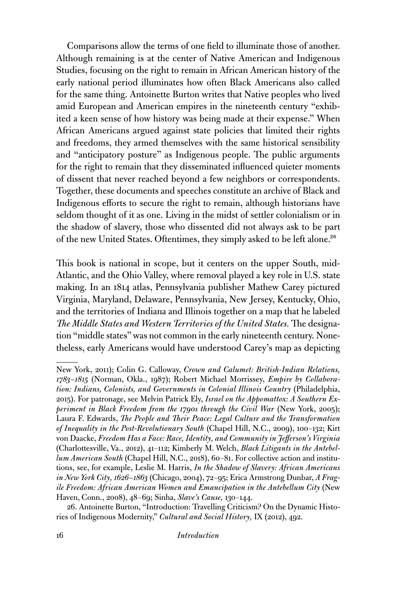Comparisons allow the terms of one field to illuminate those of another. Although remaining is at the center of Native American and Indigenous Studies, focusing on the right to remain in African American history of the early national period illuminates how often Black Americans also called for the same thing. Antoinette Burton writes that Native peoples who lived amid European and American empires in the nineteenth century "exhibited a keen sense of how history was being made at their expense." When African Americans argued against state policies that limited their rights and freedoms, they armed themselves with the same historical sensibility and "anticipatory posture" as Indigenous people. The public arguments for the right to remain that they disseminated influenced quieter moments of dissent that never reached beyond a few neighbors or correspondents. Together, these documents and speeches constitute an archive of Black and Indigenous efforts to secure the right to remain, although historians have seldom thought of it as one. Living in the midst of settler colonialism or in the shadow of slavery, those who dissented did not always ask to be part of the new United States. Oftentimes, they simply asked to be left alone.<sup>26</sup>

This book is national in scope, but it centers on the upper South, mid-Atlantic, and the Ohio Valley, where removal played a key role in U.S. state making. In an 1814 atlas, Pennsylvania publisher Mathew Carey pictured Virginia, Maryland, Delaware, Pennsylvania, New Jersey, Kentucky, Ohio, and the territories of Indiana and Illinois together on a map that he labeled *The Middle States and Western Territories of the United States.* The designation "middle states" was not common in the early nineteenth century. Nonetheless, early Americans would have understood Carey's map as depicting

26. Antoinette Burton, "Introduction: Travelling Criticism? On the Dynamic Histories of Indigenous Modernity," *Cultural and Social History,* IX (2012), 492.

New York, 2011); Colin G. Calloway, *Crown and Calumet: British-Indian Relations, 1783–1815* (Norman, Okla., 1987); Robert Michael Morrissey, *Empire by Collaboration: Indians, Colonists, and Governments in Colonial Illinois Country* (Philadelphia, 2015). For patronage, see Melvin Patrick Ely, *Israel on the Appomattox: A Southern Experiment in Black Freedom from the 1790s through the Civil War* (New York, 2005); Laura F. Edwards, *The People and Their Peace: Legal Culture and the Transformation of Inequality in the Post-Revolutionary South* (Chapel Hill, N.C., 2009), 100–132; Kirt von Daacke, *Freedom Has a Face: Race, Identity, and Community in Jefferson's Virginia* (Charlottesville, Va., 2012), 41–112; Kimberly M. Welch, *Black Litigants in the Antebellum American South* (Chapel Hill, N.C., 2018), 60–81. For collective action and institutions, see, for example, Leslie M. Harris, *In the Shadow of Slavery: African Americans in New York City, 1626–1863* (Chicago, 2004), 72–95; Erica Armstrong Dunbar, *A Fragile Freedom: African American Women and Emancipation in the Antebellum City* (New Haven, Conn., 2008), 48–69; Sinha, *Slave's Cause,* 130–144.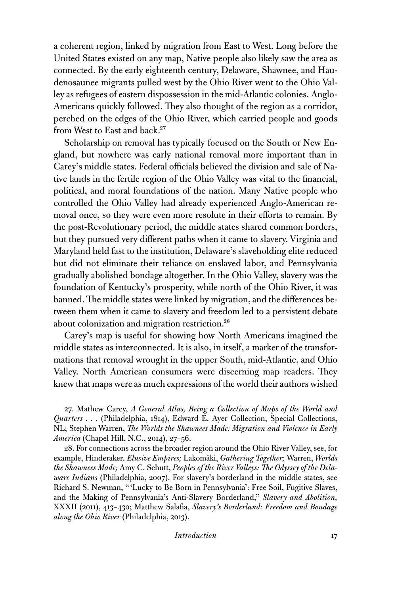a coherent region, linked by migration from East to West. Long before the United States existed on any map, Native people also likely saw the area as connected. By the early eighteenth century, Delaware, Shawnee, and Haudenosaunee migrants pulled west by the Ohio River went to the Ohio Valley as refugees of eastern dispossession in the mid-Atlantic colonies. Anglo-Americans quickly followed. They also thought of the region as a corridor, perched on the edges of the Ohio River, which carried people and goods from West to East and back.<sup>27</sup>

Scholarship on removal has typically focused on the South or New England, but nowhere was early national removal more important than in Carey's middle states. Federal officials believed the division and sale of Native lands in the fertile region of the Ohio Valley was vital to the financial, political, and moral foundations of the nation. Many Native people who controlled the Ohio Valley had already experienced Anglo-American removal once, so they were even more resolute in their efforts to remain. By the post-Revolutionary period, the middle states shared common borders, but they pursued very different paths when it came to slavery. Virginia and Maryland held fast to the institution, Delaware's slaveholding elite reduced but did not eliminate their reliance on enslaved labor, and Pennsylvania gradually abolished bondage altogether. In the Ohio Valley, slavery was the foundation of Kentucky's prosperity, while north of the Ohio River, it was banned. The middle states were linked by migration, and the differences between them when it came to slavery and freedom led to a persistent debate about colonization and migration restriction.<sup>28</sup>

Carey's map is useful for showing how North Americans imagined the middle states as interconnected. It is also, in itself, a marker of the transformations that removal wrought in the upper South, mid-Atlantic, and Ohio Valley. North American consumers were discerning map readers. They knew that maps were as much expressions of the world their authors wished

27. Mathew Carey, *A General Atlas, Being a Collection of Maps of the World and Quarters . . .* (Philadelphia, 1814), Edward E. Ayer Collection, Special Collections, NL; Stephen Warren, *The Worlds the Shawnees Made: Migration and Violence in Early America* (Chapel Hill, N.C., 2014), 27–56.

28. For connections across the broader region around the Ohio River Valley, see, for example, Hinderaker, *Elusive Empires;* Lakomäki, *Gathering Together;* Warren, *Worlds the Shawnees Made;* Amy C. Schutt, *Peoples of the River Valleys: The Odyssey of the Delaware Indians* (Philadelphia, 2007). For slavery's borderland in the middle states, see Richard S. Newman, " 'Lucky to Be Born in Pennsylvania': Free Soil, Fugitive Slaves, and the Making of Pennsylvania's Anti-Slavery Borderland," *Slavery and Abolition,* XXXII (2011), 413–430; Matthew Salafia, *Slavery's Borderland: Freedom and Bondage along the Ohio River* (Philadelphia, 2013).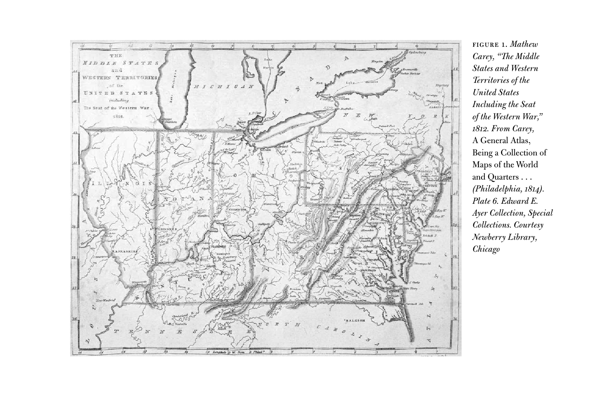

Figure 1. *Mathew Carey, "The Middle States and Western Territories of the United States Including the Seat of the Western War," 1812. From Carey,*  A General Atlas, Being a Collection of Maps of the World and Quarters . . . *(Philadelphia, 1814). Plate 6. Edward E. Ayer Collection, Special Collections. Courtesy Newberry Library, Chicago*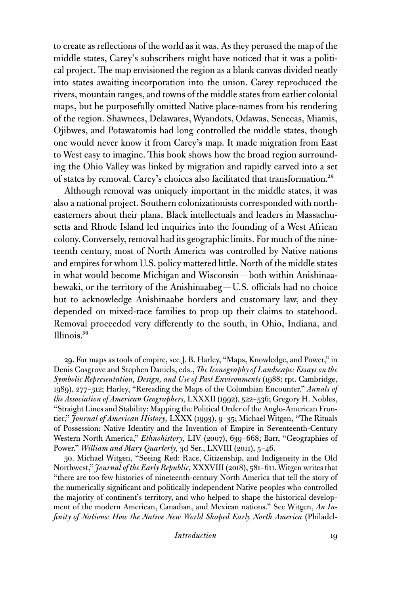to create as reflections of the world as it was. As they perused the map of the middle states, Carey's subscribers might have noticed that it was a political project. The map envisioned the region as a blank canvas divided neatly into states awaiting incorporation into the union. Carey reproduced the rivers, mountain ranges, and towns of the middle states from earlier colonial maps, but he purposefully omitted Native place-names from his rendering of the region. Shawnees, Delawares, Wyandots, Odawas, Senecas, Miamis, Ojibwes, and Potawatomis had long controlled the middle states, though one would never know it from Carey's map. It made migration from East to West easy to imagine. This book shows how the broad region surrounding the Ohio Valley was linked by migration and rapidly carved into a set of states by removal. Carey's choices also facilitated that transformation.29

Although removal was uniquely important in the middle states, it was also a national project. Southern colonizationists corresponded with northeasterners about their plans. Black intellectuals and leaders in Massachusetts and Rhode Island led inquiries into the founding of a West African colony. Conversely, removal had its geographic limits. For much of the nineteenth century, most of North America was controlled by Native nations and empires for whom U.S. policy mattered little. North of the middle states in what would become Michigan and Wisconsin—both within Anishinaabewaki, or the territory of the Anishinaabeg—U.S. officials had no choice but to acknowledge Anishinaabe borders and customary law, and they depended on mixed-race families to prop up their claims to statehood. Removal proceeded very differently to the south, in Ohio, Indiana, and Illinois.30

29. For maps as tools of empire, see J. B. Harley, "Maps, Knowledge, and Power," in Denis Cosgrove and Stephen Daniels, eds., *The Iconography of Landscape: Essays on the Symbolic Representation, Design, and Use of Past Environments* (1988; rpt. Cambridge, 1989), 277–312; Harley, "Rereading the Maps of the Columbian Encounter," *Annals of the Association of American Geographers,* LXXXII (1992), 522–536; Gregory H. Nobles, "Straight Lines and Stability: Mapping the Political Order of the Anglo-American Frontier," *Journal of American History,* LXXX (1993), 9–35; Michael Witgen, "The Rituals of Possession: Native Identity and the Invention of Empire in Seventeenth-Century Western North America," *Ethnohistory,* LIV (2007), 639–668; Barr, "Geographies of Power," *William and Mary Quarterly*, 3d Ser., LXVIII (2011), 5-46.

30. Michael Witgen, "Seeing Red: Race, Citizenship, and Indigeneity in the Old Northwest," *Journal of the Early Republic,* XXXVIII (2018), 581–611. Witgen writes that "there are too few histories of nineteenth-century North America that tell the story of the numerically significant and politically independent Native peoples who controlled the majority of continent's territory, and who helped to shape the historical development of the modern American, Canadian, and Mexican nations." See Witgen, *An Infinity of Nations: How the Native New World Shaped Early North America* (Philadel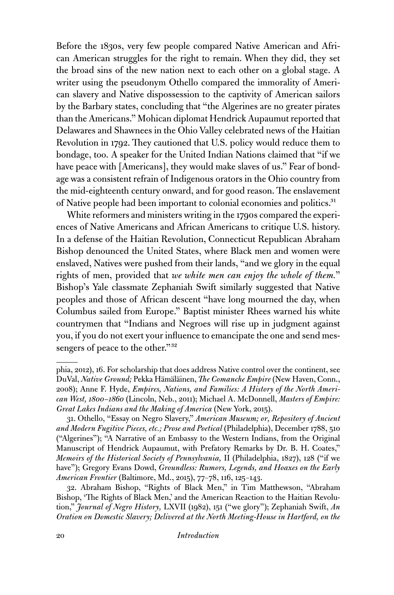Before the 1830s, very few people compared Native American and African American struggles for the right to remain. When they did, they set the broad sins of the new nation next to each other on a global stage. A writer using the pseudonym Othello compared the immorality of American slavery and Native dispossession to the captivity of American sailors by the Barbary states, concluding that "the Algerines are no greater pirates than the Americans." Mohican diplomat Hendrick Aupaumut reported that Delawares and Shawnees in the Ohio Valley celebrated news of the Haitian Revolution in 1792. They cautioned that U.S. policy would reduce them to bondage, too. A speaker for the United Indian Nations claimed that "if we have peace with [Americans], they would make slaves of us." Fear of bondage was a consistent refrain of Indigenous orators in the Ohio country from the mid-eighteenth century onward, and for good reason. The enslavement of Native people had been important to colonial economies and politics.<sup>31</sup>

White reformers and ministers writing in the 1790s compared the experiences of Native Americans and African Americans to critique U.S. history. In a defense of the Haitian Revolution, Connecticut Republican Abraham Bishop denounced the United States, where Black men and women were enslaved, Natives were pushed from their lands, "and we glory in the equal rights of men, provided that *we white men can enjoy the whole of them.*" Bishop's Yale classmate Zephaniah Swift similarly suggested that Native peoples and those of African descent "have long mourned the day, when Columbus sailed from Europe." Baptist minister Rhees warned his white countrymen that "Indians and Negroes will rise up in judgment against you, if you do not exert your influence to emancipate the one and send messengers of peace to the other."<sup>32</sup>

phia, 2012), 16. For scholarship that does address Native control over the continent, see DuVal, *Native Ground;* Pekka Hämäläinen, *The Comanche Empire* (New Haven, Conn., 2008); Anne F. Hyde, *Empires, Nations, and Families: A History of the North American West, 1800–1860* (Lincoln, Neb., 2011); Michael A. McDonnell, *Masters of Empire: Great Lakes Indians and the Making of America* (New York, 2015).

<sup>31.</sup> Othello, "Essay on Negro Slavery," *American Museum; or, Repository of Ancient and Modern Fugitive Pieces, etc.; Prose and Poetical* (Philadelphia), December 1788, 510 ("Algerines"); "A Narrative of an Embassy to the Western Indians, from the Original Manuscript of Hendrick Aupaumut, with Prefatory Remarks by Dr. B. H. Coates," *Memoirs of the Historical Society of Pennsylvania,* II (Philadelphia, 1827), 128 ("if we have"); Gregory Evans Dowd, *Groundless: Rumors, Legends, and Hoaxes on the Early American Frontier* (Baltimore, Md., 2015), 77–78, 116, 125–143.

<sup>32.</sup> Abraham Bishop, "Rights of Black Men," in Tim Matthewson, "Abraham Bishop, 'The Rights of Black Men,' and the American Reaction to the Haitian Revolution," *Journal of Negro History,* LXVII (1982), 151 ("we glory"); Zephaniah Swift, *An Oration on Domestic Slavery; Delivered at the North Meeting-House in Hartford, on the*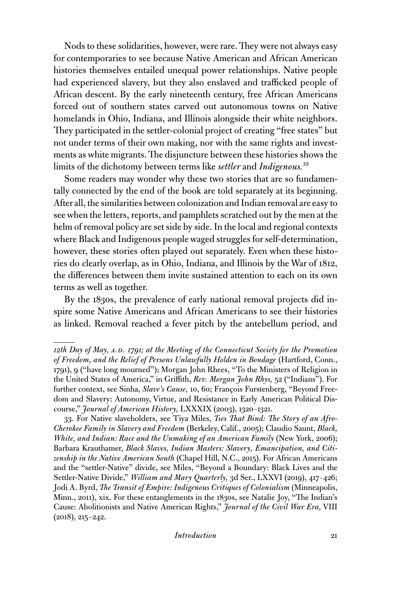Nods to these solidarities, however, were rare. They were not always easy for contemporaries to see because Native American and African American histories themselves entailed unequal power relationships. Native people had experienced slavery, but they also enslaved and trafficked people of African descent. By the early nineteenth century, free African Americans forced out of southern states carved out autonomous towns on Native homelands in Ohio, Indiana, and Illinois alongside their white neighbors. They participated in the settler-colonial project of creating "free states" but not under terms of their own making, nor with the same rights and investments as white migrants. The disjuncture between these histories shows the limits of the dichotomy between terms like *settler* and *Indigenous.*33

Some readers may wonder why these two stories that are so fundamentally connected by the end of the book are told separately at its beginning. After all, the similarities between colonization and Indian removal are easy to see when the letters, reports, and pamphlets scratched out by the men at the helm of removal policy are set side by side. In the local and regional contexts where Black and Indigenous people waged struggles for self-determination, however, these stories often played out separately. Even when these histories do clearly overlap, as in Ohio, Indiana, and Illinois by the War of 1812, the differences between them invite sustained attention to each on its own terms as well as together.

By the 1830s, the prevalence of early national removal projects did inspire some Native Americans and African Americans to see their histories as linked. Removal reached a fever pitch by the antebellum period, and

<sup>12</sup>th Day of May, A.D. 1791; at the Meeting of the Connecticut Society for the Promotion *of Freedom, and the Relief of Persons Unlawfully Holden in Bondage* (Hartford, Conn., 1791), 9 ("have long mourned"); Morgan John Rhees, "To the Ministers of Religion in the United States of America," in Griffith, *Rev. Morgan John Rhys,* 52 ("Indians"). For further context, see Sinha, *Slave's Cause,* 10, 60; François Furstenberg, "Beyond Freedom and Slavery: Autonomy, Virtue, and Resistance in Early American Political Discourse," *Journal of American History,* LXXXIX (2003), 1320–1321.

<sup>33.</sup> For Native slaveholders, see Tiya Miles, *Ties That Bind: The Story of an Afro-Cherokee Family in Slavery and Freedom* (Berkeley, Calif., 2005); Claudio Saunt, *Black, White, and Indian: Race and the Unmaking of an American Family* (New York, 2006); Barbara Krauthamer, *Black Slaves, Indian Masters: Slavery, Emancipation, and Citizenship in the Native American South* (Chapel Hill, N.C., 2015). For African Americans and the "settler-Native" divide, see Miles, "Beyond a Boundary: Black Lives and the Settler-Native Divide," *William and Mary Quarterly,* 3d Ser., LXXVI (2019), 417–426; Jodi A. Byrd, *The Transit of Empire: Indigenous Critiques of Colonialism* (Minneapolis, Minn., 2011), xix. For these entanglements in the 1830s, see Natalie Joy, "The Indian's Cause: Abolitionists and Native American Rights," *Journal of the Civil War Era,* VIII (2018), 215–242.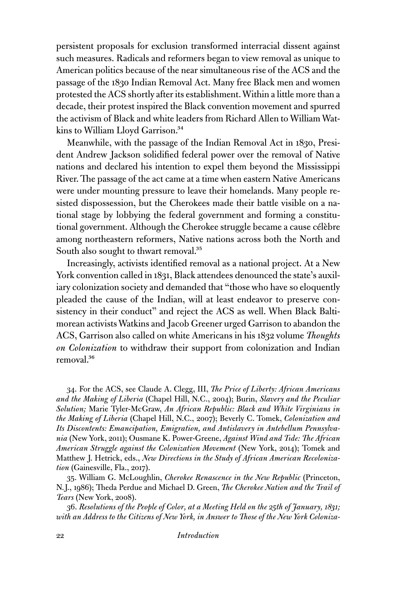persistent proposals for exclusion transformed interracial dissent against such measures. Radicals and reformers began to view removal as unique to American politics because of the near simultaneous rise of the ACS and the passage of the 1830 Indian Removal Act. Many free Black men and women protested the ACS shortly after its establishment. Within a little more than a decade, their protest inspired the Black convention movement and spurred the activism of Black and white leaders from Richard Allen to William Watkins to William Lloyd Garrison.<sup>34</sup>

Meanwhile, with the passage of the Indian Removal Act in 1830, President Andrew Jackson solidified federal power over the removal of Native nations and declared his intention to expel them beyond the Mississippi River. The passage of the act came at a time when eastern Native Americans were under mounting pressure to leave their homelands. Many people resisted dispossession, but the Cherokees made their battle visible on a national stage by lobbying the federal government and forming a constitutional government. Although the Cherokee struggle became a cause célèbre among northeastern reformers, Native nations across both the North and South also sought to thwart removal.<sup>35</sup>

Increasingly, activists identified removal as a national project. At a New York convention called in 1831, Black attendees denounced the state's auxiliary colonization society and demanded that "those who have so eloquently pleaded the cause of the Indian, will at least endeavor to preserve consistency in their conduct" and reject the ACS as well. When Black Baltimorean activists Watkins and Jacob Greener urged Garrison to abandon the ACS, Garrison also called on white Americans in his 1832 volume *Thoughts on Colonization* to withdraw their support from colonization and Indian removal.<sup>36</sup>

34. For the ACS, see Claude A. Clegg, III, *The Price of Liberty: African Americans and the Making of Liberia* (Chapel Hill, N.C., 2004); Burin, *Slavery and the Peculiar Solution;* Marie Tyler-McGraw, *An African Republic: Black and White Virginians in the Making of Liberia* (Chapel Hill, N.C., 2007); Beverly C. Tomek, *Colonization and Its Discontents: Emancipation, Emigration, and Antislavery in Antebellum Pennsylvania* (New York, 2011); Ousmane K. Power-Greene, *Against Wind and Tide: The African American Struggle against the Colonization Movement* (New York, 2014); Tomek and Matthew J. Hetrick, eds., *New Directions in the Study of African American Recolonization* (Gainesville, Fla., 2017).

35. William G. McLoughlin, *Cherokee Renascence in the New Republic* (Princeton, N.J., 1986); Theda Perdue and Michael D. Green, *The Cherokee Nation and the Trail of Tears* (New York, 2008).

36. *Resolutions of the People of Color, at a Meeting Held on the 25th of January, 1831; with an Address to the Citizens of New York, in Answer to Those of the New York Coloniza-*